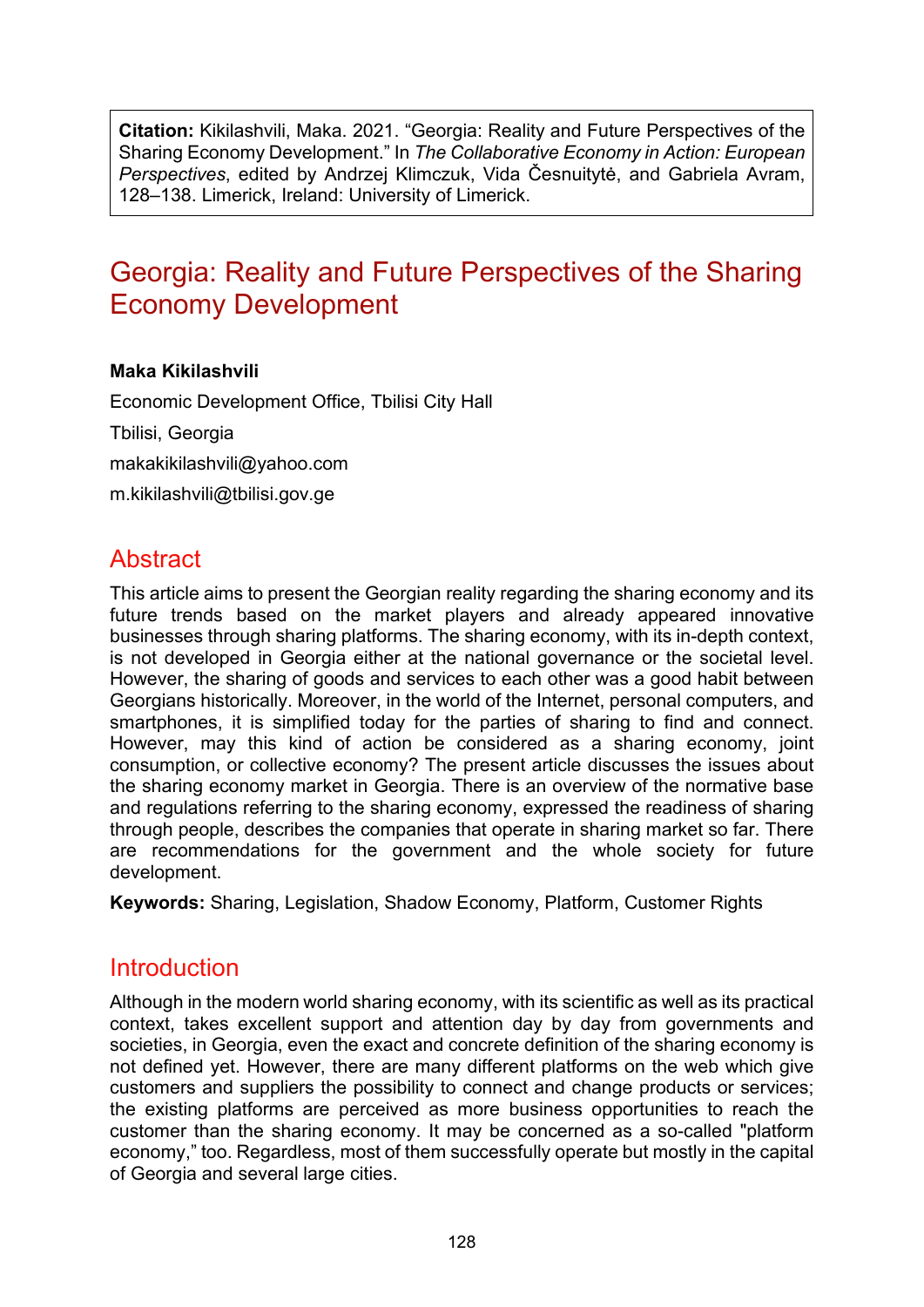**Citation:** Kikilashvili, Maka. 2021. "Georgia: Reality and Future Perspectives of the Sharing Economy Development." In *The Collaborative Economy in Action: European Perspectives*, edited by Andrzej Klimczuk, Vida Česnuitytė, and Gabriela Avram, 128–138. Limerick, Ireland: University of Limerick.

# Georgia: Reality and Future Perspectives of the Sharing Economy Development

#### **Maka Kikilashvili**

Economic Development Office, Tbilisi City Hall Tbilisi, Georgia [makakikilashvili@yahoo.com](mailto:makakikilashvili@yahoo.com) [m.kikilashvili@tbilisi.gov.ge](mailto:m.kikilashvili@tbilisi.gov.ge)

### **Abstract**

This article aims to present the Georgian reality regarding the sharing economy and its future trends based on the market players and already appeared innovative businesses through sharing platforms. The sharing economy, with its in-depth context, is not developed in Georgia either at the national governance or the societal level. However, the sharing of goods and services to each other was a good habit between Georgians historically. Moreover, in the world of the Internet, personal computers, and smartphones, it is simplified today for the parties of sharing to find and connect. However, may this kind of action be considered as a sharing economy, joint consumption, or collective economy? The present article discusses the issues about the sharing economy market in Georgia. There is an overview of the normative base and regulations referring to the sharing economy, expressed the readiness of sharing through people, describes the companies that operate in sharing market so far. There are recommendations for the government and the whole society for future development.

**Keywords:** Sharing, Legislation, Shadow Economy, Platform, Customer Rights

### Introduction

Although in the modern world sharing economy, with its scientific as well as its practical context, takes excellent support and attention day by day from governments and societies, in Georgia, even the exact and concrete definition of the sharing economy is not defined yet. However, there are many different platforms on the web which give customers and suppliers the possibility to connect and change products or services; the existing platforms are perceived as more business opportunities to reach the customer than the sharing economy. It may be concerned as a so-called "platform economy," too. Regardless, most of them successfully operate but mostly in the capital of Georgia and several large cities.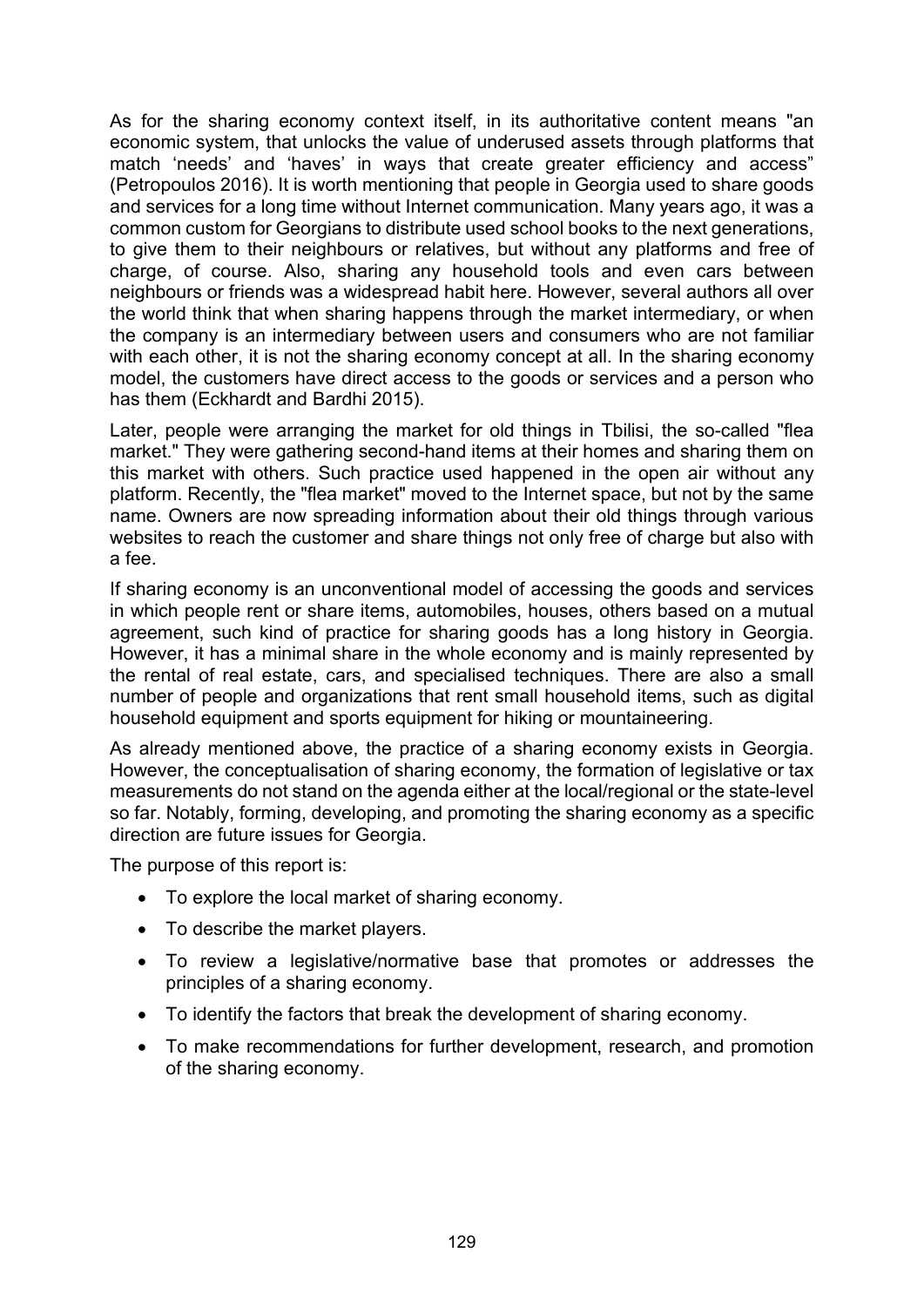As for the sharing economy context itself, in its authoritative content means "an economic system, that unlocks the value of underused assets through platforms that match 'needs' and 'haves' in ways that create greater efficiency and access" (Petropoulos 2016). It is worth mentioning that people in Georgia used to share goods and services for a long time without Internet communication. Many years ago, it was a common custom for Georgians to distribute used school books to the next generations, to give them to their neighbours or relatives, but without any platforms and free of charge, of course. Also, sharing any household tools and even cars between neighbours or friends was a widespread habit here. However, several authors all over the world think that when sharing happens through the market intermediary, or when the company is an intermediary between users and consumers who are not familiar with each other, it is not the sharing economy concept at all. In the sharing economy model, the customers have direct access to the goods or services and a person who has them (Eckhardt and Bardhi 2015).

Later, people were arranging the market for old things in Tbilisi, the so-called "flea market." They were gathering second-hand items at their homes and sharing them on this market with others. Such practice used happened in the open air without any platform. Recently, the "flea market" moved to the Internet space, but not by the same name. Owners are now spreading information about their old things through various websites to reach the customer and share things not only free of charge but also with a fee.

If sharing economy is an unconventional model of accessing the goods and services in which people rent or share items, automobiles, houses, others based on a mutual agreement, such kind of practice for sharing goods has a long history in Georgia. However, it has a minimal share in the whole economy and is mainly represented by the rental of real estate, cars, and specialised techniques. There are also a small number of people and organizations that rent small household items, such as digital household equipment and sports equipment for hiking or mountaineering.

As already mentioned above, the practice of a sharing economy exists in Georgia. However, the conceptualisation of sharing economy, the formation of legislative or tax measurements do not stand on the agenda either at the local/regional or the state-level so far. Notably, forming, developing, and promoting the sharing economy as a specific direction are future issues for Georgia.

The purpose of this report is:

- To explore the local market of sharing economy.
- To describe the market players.
- To review a legislative/normative base that promotes or addresses the principles of a sharing economy.
- To identify the factors that break the development of sharing economy.
- To make recommendations for further development, research, and promotion of the sharing economy.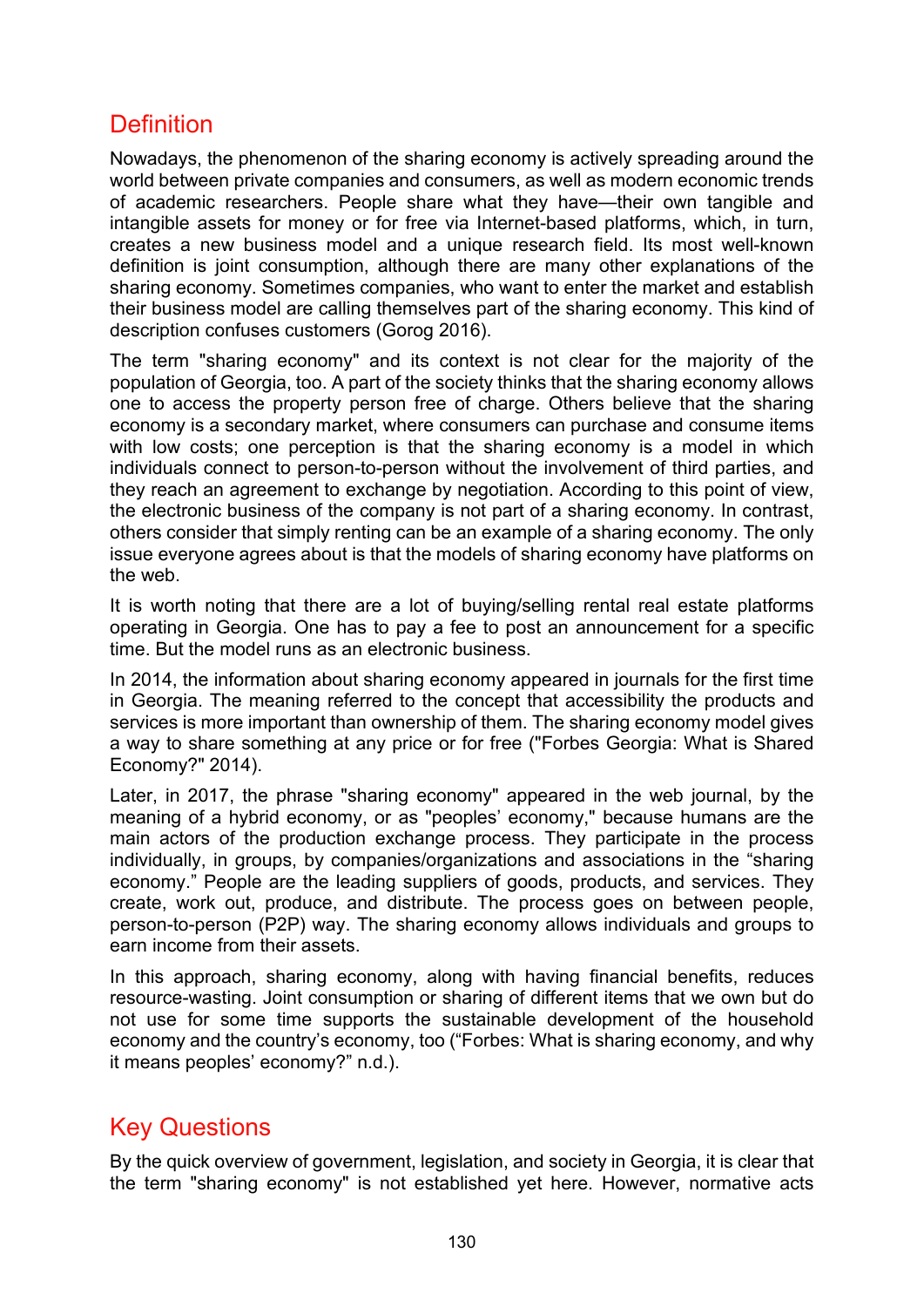# **Definition**

Nowadays, the phenomenon of the sharing economy is actively spreading around the world between private companies and consumers, as well as modern economic trends of academic researchers. People share what they have—their own tangible and intangible assets for money or for free via Internet-based platforms, which, in turn, creates a new business model and a unique research field. Its most well-known definition is joint consumption, although there are many other explanations of the sharing economy. Sometimes companies, who want to enter the market and establish their business model are calling themselves part of the sharing economy. This kind of description confuses customers (Gorog 2016).

The term "sharing economy" and its context is not clear for the majority of the population of Georgia, too. A part of the society thinks that the sharing economy allows one to access the property person free of charge. Others believe that the sharing economy is a secondary market, where consumers can purchase and consume items with low costs; one perception is that the sharing economy is a model in which individuals connect to person-to-person without the involvement of third parties, and they reach an agreement to exchange by negotiation. According to this point of view, the electronic business of the company is not part of a sharing economy. In contrast, others consider that simply renting can be an example of a sharing economy. The only issue everyone agrees about is that the models of sharing economy have platforms on the web.

It is worth noting that there are a lot of buying/selling rental real estate platforms operating in Georgia. One has to pay a fee to post an announcement for a specific time. But the model runs as an electronic business.

In 2014, the information about sharing economy appeared in journals for the first time in Georgia. The meaning referred to the concept that accessibility the products and services is more important than ownership of them. The sharing economy model gives a way to share something at any price or for free ("Forbes Georgia: What is Shared Economy?" 2014).

Later, in 2017, the phrase "sharing economy" appeared in the web journal, by the meaning of a hybrid economy, or as "peoples' economy," because humans are the main actors of the production exchange process. They participate in the process individually, in groups, by companies/organizations and associations in the "sharing economy." People are the leading suppliers of goods, products, and services. They create, work out, produce, and distribute. The process goes on between people, person-to-person (P2P) way. The sharing economy allows individuals and groups to earn income from their assets.

In this approach, sharing economy, along with having financial benefits, reduces resource-wasting. Joint consumption or sharing of different items that we own but do not use for some time supports the sustainable development of the household economy and the country's economy, too ("Forbes: What is sharing economy, and why it means peoples' economy?" n.d.).

### Key Questions

By the quick overview of government, legislation, and society in Georgia, it is clear that the term "sharing economy" is not established yet here. However, normative acts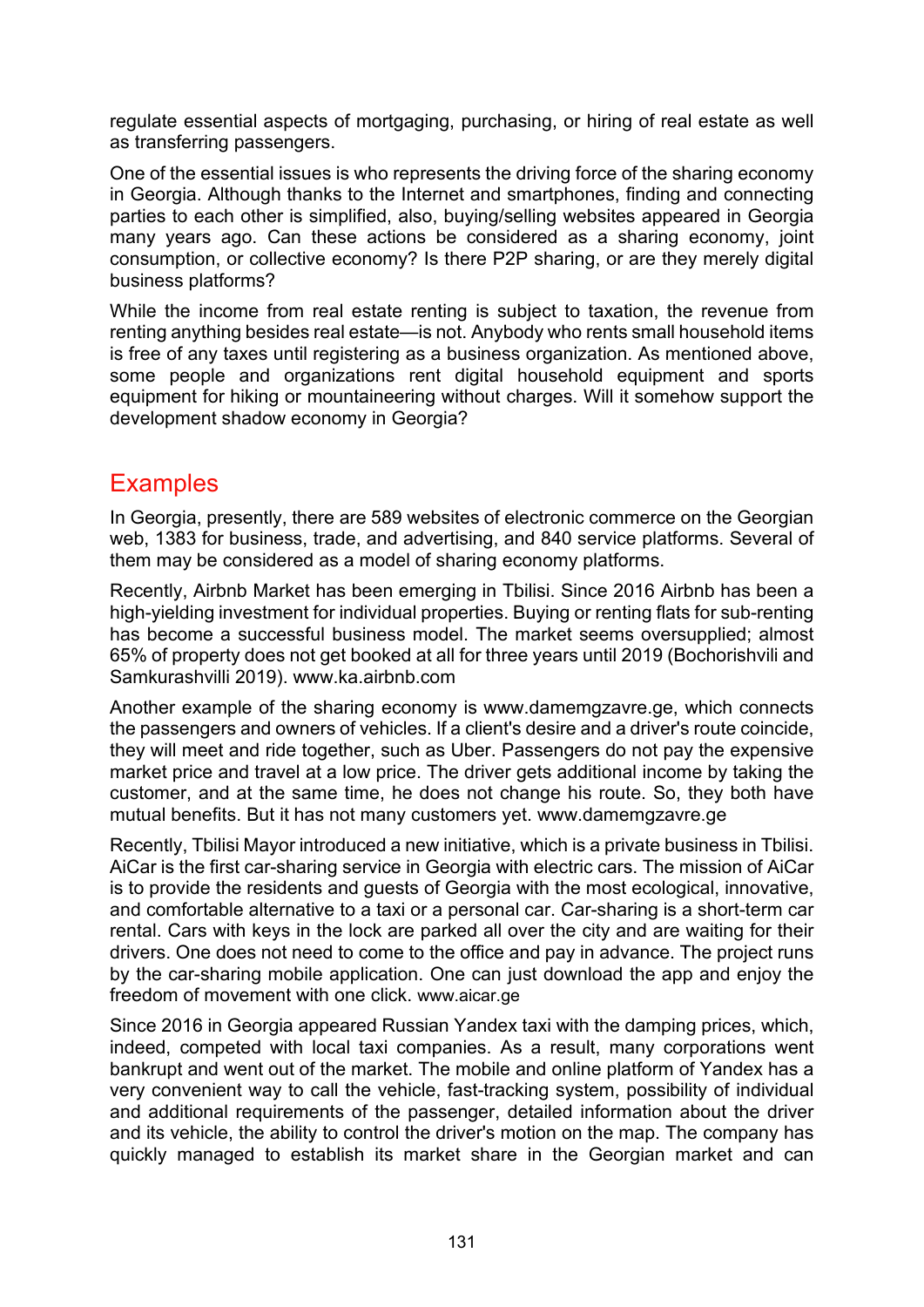regulate essential aspects of mortgaging, purchasing, or hiring of real estate as well as transferring passengers.

One of the essential issues is who represents the driving force of the sharing economy in Georgia. Although thanks to the Internet and smartphones, finding and connecting parties to each other is simplified, also, buying/selling websites appeared in Georgia many years ago. Can these actions be considered as a sharing economy, joint consumption, or collective economy? Is there P2P sharing, or are they merely digital business platforms?

While the income from real estate renting is subject to taxation, the revenue from renting anything besides real estate—is not. Anybody who rents small household items is free of any taxes until registering as a business organization. As mentioned above, some people and organizations rent digital household equipment and sports equipment for hiking or mountaineering without charges. Will it somehow support the development shadow economy in Georgia?

### **Examples**

In Georgia, presently, there are 589 websites of electronic commerce on the Georgian web, 1383 for business, trade, and advertising, and 840 service platforms. Several of them may be considered as a model of sharing economy platforms.

Recently, Airbnb Market has been emerging in Tbilisi. Since 2016 Airbnb has been a high-yielding investment for individual properties. Buying or renting flats for sub-renting has become a successful business model. The market seems oversupplied; almost 65% of property does not get booked at all for three years until 2019 (Bochorishvili and Samkurashvilli 2019). [www.ka.airbnb.com](http://www.ka.airbnb.com/)

Another example of the sharing economy is [www.damemgzavre.ge,](http://www.damemgzavre.ge/) which connects the passengers and owners of vehicles. If a client's desire and a driver's route coincide, they will meet and ride together, such as Uber. Passengers do not pay the expensive market price and travel at a low price. The driver gets additional income by taking the customer, and at the same time, he does not change his route. So, they both have mutual benefits. But it has not many customers yet. [www.damemgzavre.ge](http://www.damemgzavre.ge/)

Recently, Tbilisi Mayor introduced a new initiative, which is a private business in Tbilisi. AiCar is the first car-sharing service in Georgia with electric cars. The mission of AiCar is to provide the residents and guests of Georgia with the most ecological, innovative, and comfortable alternative to a taxi or a personal car. Car-sharing is a short-term car rental. Cars with keys in the lock are parked all over the city and are waiting for their drivers. One does not need to come to the office and pay in advance. The project runs by the car-sharing mobile application. One can just download the app and enjoy the freedom of movement with one click. www.aicar.ge

Since 2016 in Georgia appeared Russian Yandex taxi with the damping prices, which, indeed, competed with local taxi companies. As a result, many corporations went bankrupt and went out of the market. The mobile and online platform of Yandex has a very convenient way to call the vehicle, fast-tracking system, possibility of individual and additional requirements of the passenger, detailed information about the driver and its vehicle, the ability to control the driver's motion on the map. The company has quickly managed to establish its market share in the Georgian market and can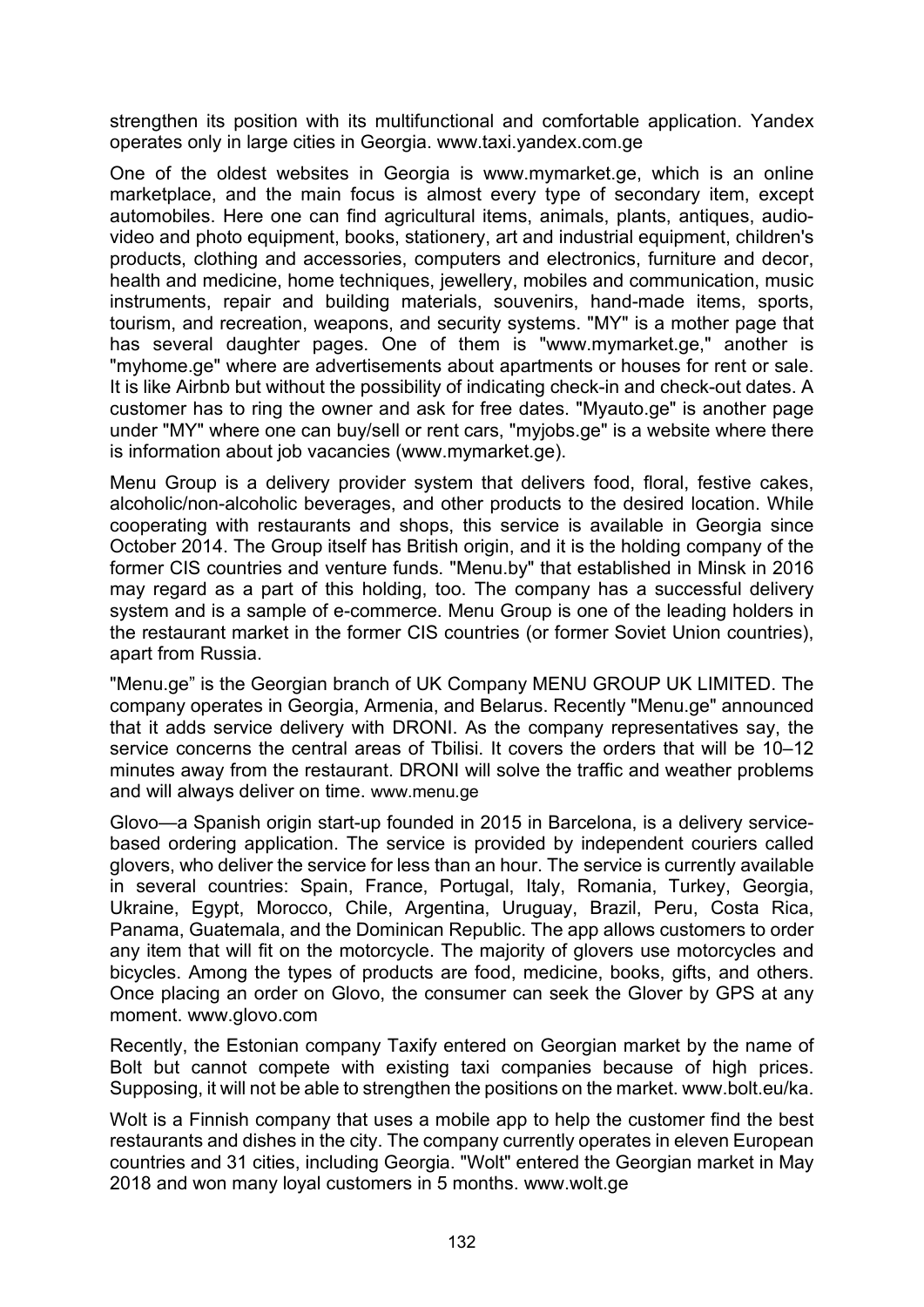strengthen its position with its multifunctional and comfortable application. Yandex operates only in large cities in Georgia. [www.taxi.yandex.com.ge](http://www.taxi.yandex.com.ge/)

One of the oldest websites in Georgia is [www.mymarket.ge,](http://www.mymarket.ge/) which is an online marketplace, and the main focus is almost every type of secondary item, except automobiles. Here one can find agricultural items, animals, plants, antiques, audiovideo and photo equipment, books, stationery, art and industrial equipment, children's products, clothing and accessories, computers and electronics, furniture and decor, health and medicine, home techniques, jewellery, mobiles and communication, music instruments, repair and building materials, souvenirs, hand-made items, sports, tourism, and recreation, weapons, and security systems. "MY" is a mother page that has several daughter pages. One of them is "www.mymarket.ge," another is "myhome.ge" where are advertisements about apartments or houses for rent or sale. It is like Airbnb but without the possibility of indicating check-in and check-out dates. A customer has to ring the owner and ask for free dates. "Myauto.ge" is another page under "MY" where one can buy/sell or rent cars, "myjobs.ge" is a website where there is information about job vacancies [\(www.mymarket.ge\)](http://www.mymarket.ge/).

Menu Group is a delivery provider system that delivers food, floral, festive cakes, alcoholic/non-alcoholic beverages, and other products to the desired location. While cooperating with restaurants and shops, this service is available in Georgia since October 2014. The Group itself has British origin, and it is the holding company of the former CIS countries and venture funds. "Menu.by" that established in Minsk in 2016 may regard as a part of this holding, too. The company has a successful delivery system and is a sample of e-commerce. Menu Group is one of the leading holders in the restaurant market in the former CIS countries (or former Soviet Union countries), apart from Russia.

"Menu.ge" is the Georgian branch of UK Company MENU GROUP UK LIMITED. The company operates in Georgia, Armenia, and Belarus. Recently "Menu.ge" announced that it adds service delivery with DRONI. As the company representatives say, the service concerns the central areas of Tbilisi. It covers the orders that will be 10–12 minutes away from the restaurant. DRONI will solve the traffic and weather problems and will always deliver on time. www.menu.ge

Glovo—a Spanish origin start-up founded in 2015 in Barcelona, is a delivery servicebased ordering application. The service is provided by independent couriers called glovers, who deliver the service for less than an hour. The service is currently available in several countries: Spain, France, Portugal, Italy, Romania, Turkey, Georgia, Ukraine, Egypt, Morocco, Chile, Argentina, Uruguay, Brazil, Peru, Costa Rica, Panama, Guatemala, and the Dominican Republic. The app allows customers to order any item that will fit on the motorcycle. The majority of glovers use motorcycles and bicycles. Among the types of products are food, medicine, books, gifts, and others. Once placing an order on Glovo, the consumer can seek the Glover by GPS at any moment. [www.glovo.com](http://www.glovoapp.com/)

Recently, the Estonian company Taxify entered on Georgian market by the name of Bolt but cannot compete with existing taxi companies because of high prices. Supposing, it will not be able to strengthen the positions on the market[. www.bolt.eu/ka](http://www.bolt.eu/ka).

Wolt is a Finnish company that uses a mobile app to help the customer find the best restaurants and dishes in the city. The company currently operates in eleven European countries and 31 cities, including Georgia. "Wolt" entered the Georgian market in May 2018 and won many loyal customers in 5 months. [www.wolt.ge](http://www.wolt.ge/)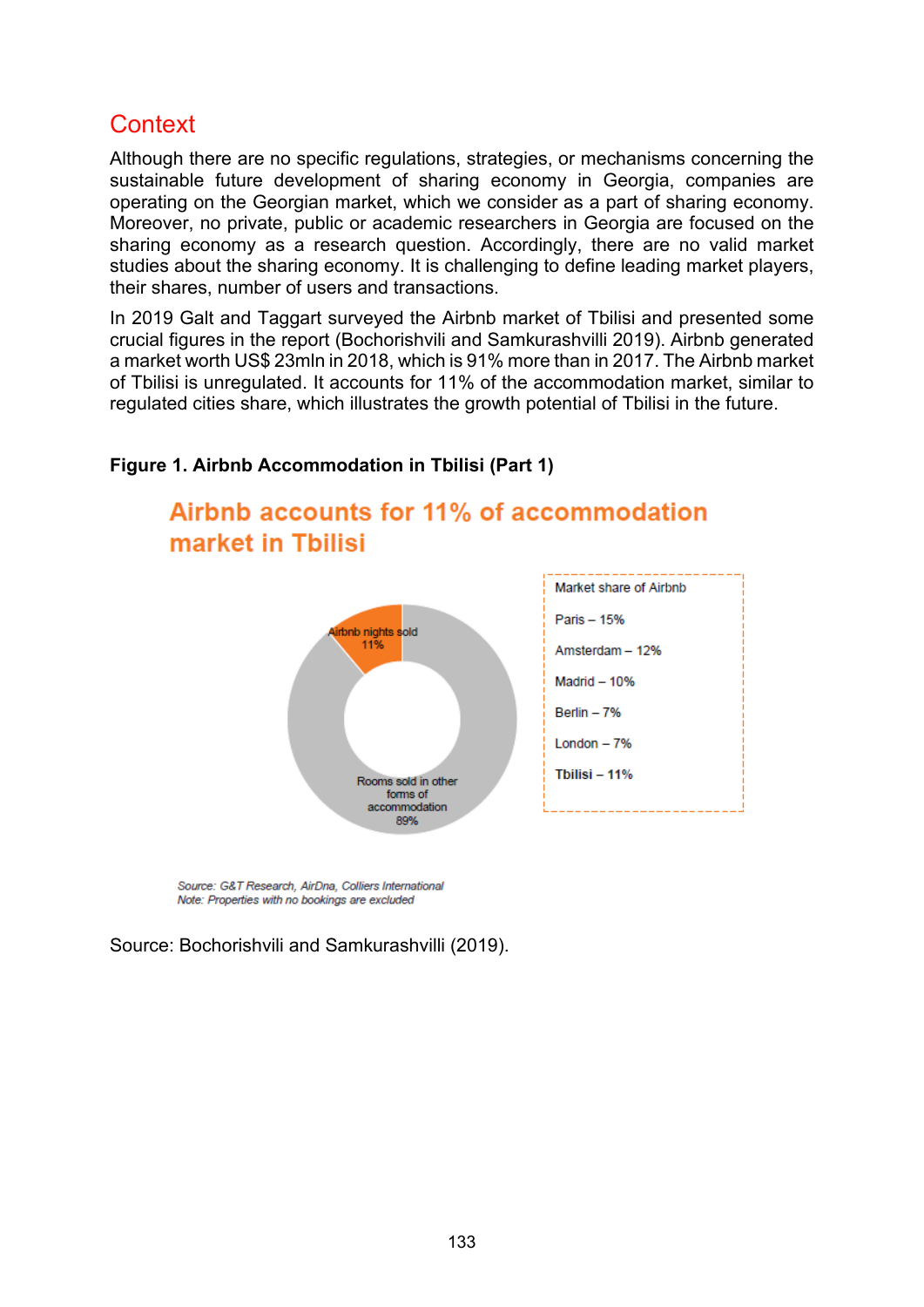## **Context**

Although there are no specific regulations, strategies, or mechanisms concerning the sustainable future development of sharing economy in Georgia, companies are operating on the Georgian market, which we consider as a part of sharing economy. Moreover, no private, public or academic researchers in Georgia are focused on the sharing economy as a research question. Accordingly, there are no valid market studies about the sharing economy. It is challenging to define leading market players, their shares, number of users and transactions.

In 2019 Galt and Taggart surveyed the Airbnb market of Tbilisi and presented some crucial figures in the report (Bochorishvili and Samkurashvilli 2019). Airbnb generated a market worth US\$ 23mln in 2018, which is 91% more than in 2017. The Airbnb market of Tbilisi is unregulated. It accounts for 11% of the accommodation market, similar to regulated cities share, which illustrates the growth potential of Tbilisi in the future.



#### **Figure 1. Airbnb Accommodation in Tbilisi (Part 1)**

Source: G&T Research, AirDna, Colliers International Note: Properties with no bookings are excluded

Source: Bochorishvili and Samkurashvilli (2019).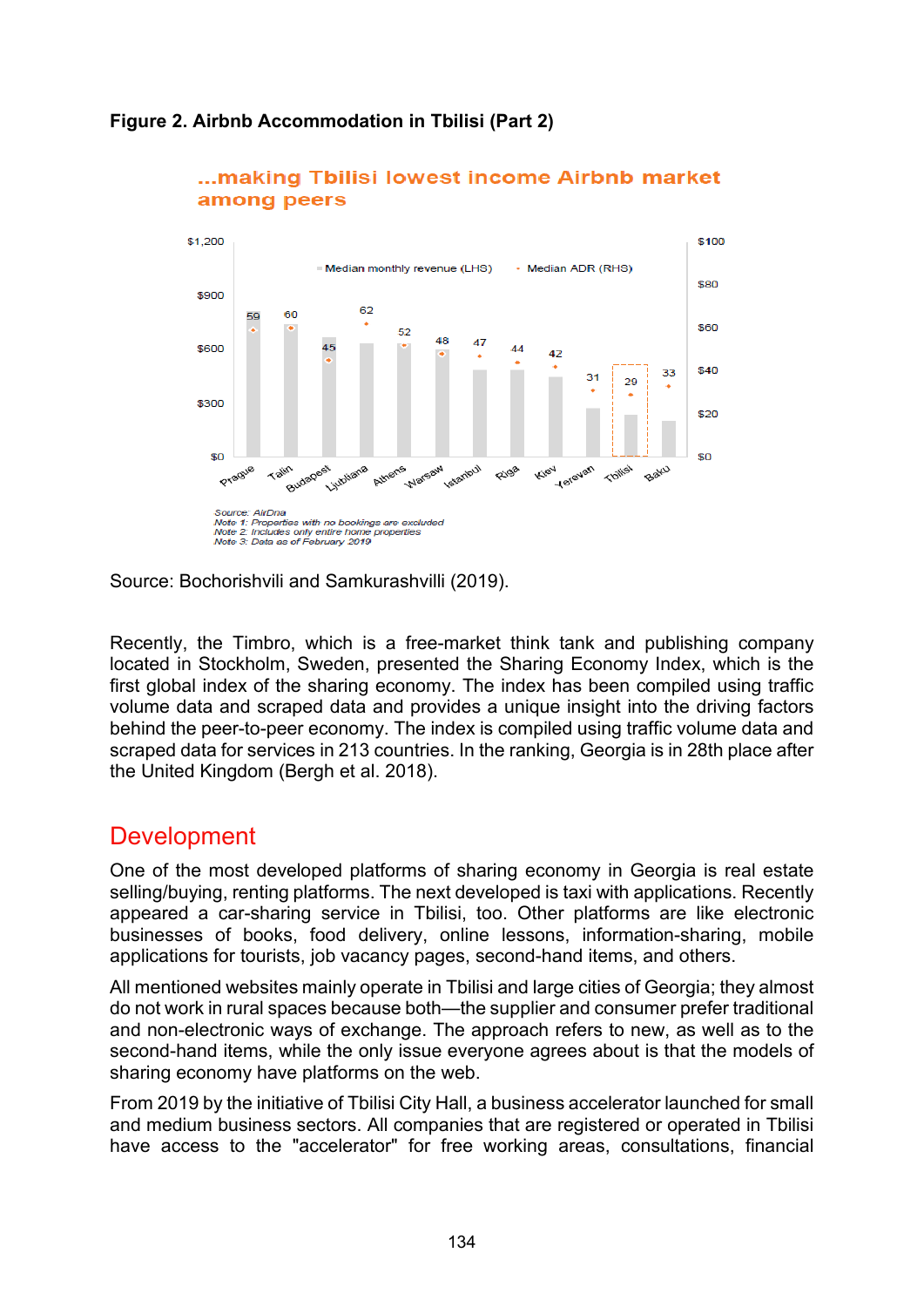

...making Tbilisi lowest income Airbnb market

#### **Figure 2. Airbnb Accommodation in Tbilisi (Part 2)**

among peers

Source: Bochorishvili and Samkurashvilli (2019).

Recently, the Timbro, which is a [free-market](https://en.wikipedia.org/wiki/Free_market) [think tank](https://en.wikipedia.org/wiki/Think_tank) and publishing company located in [Stockholm,](https://en.wikipedia.org/wiki/Stockholm) Sweden, presented the Sharing Economy Index, which is the first global index of the sharing economy. The index has been compiled using traffic volume data and scraped data and provides a unique insight into the driving factors behind the peer-to-peer economy. The index is compiled using traffic volume data and scraped data for services in 213 countries. In the ranking, Georgia is in 28th place after the United Kingdom (Bergh et al. 2018).

### **Development**

One of the most developed platforms of sharing economy in Georgia is real estate selling/buying, renting platforms. The next developed is taxi with applications. Recently appeared a car-sharing service in Tbilisi, too. Other platforms are like electronic businesses of books, food delivery, online lessons, information-sharing, mobile applications for tourists, job vacancy pages, second-hand items, and others.

All mentioned websites mainly operate in Tbilisi and large cities of Georgia; they almost do not work in rural spaces because both—the supplier and consumer prefer traditional and non-electronic ways of exchange. The approach refers to new, as well as to the second-hand items, while the only issue everyone agrees about is that the models of sharing economy have platforms on the web.

From 2019 by the initiative of Tbilisi City Hall, a business accelerator launched for small and medium business sectors. All companies that are registered or operated in Tbilisi have access to the "accelerator" for free working areas, consultations, financial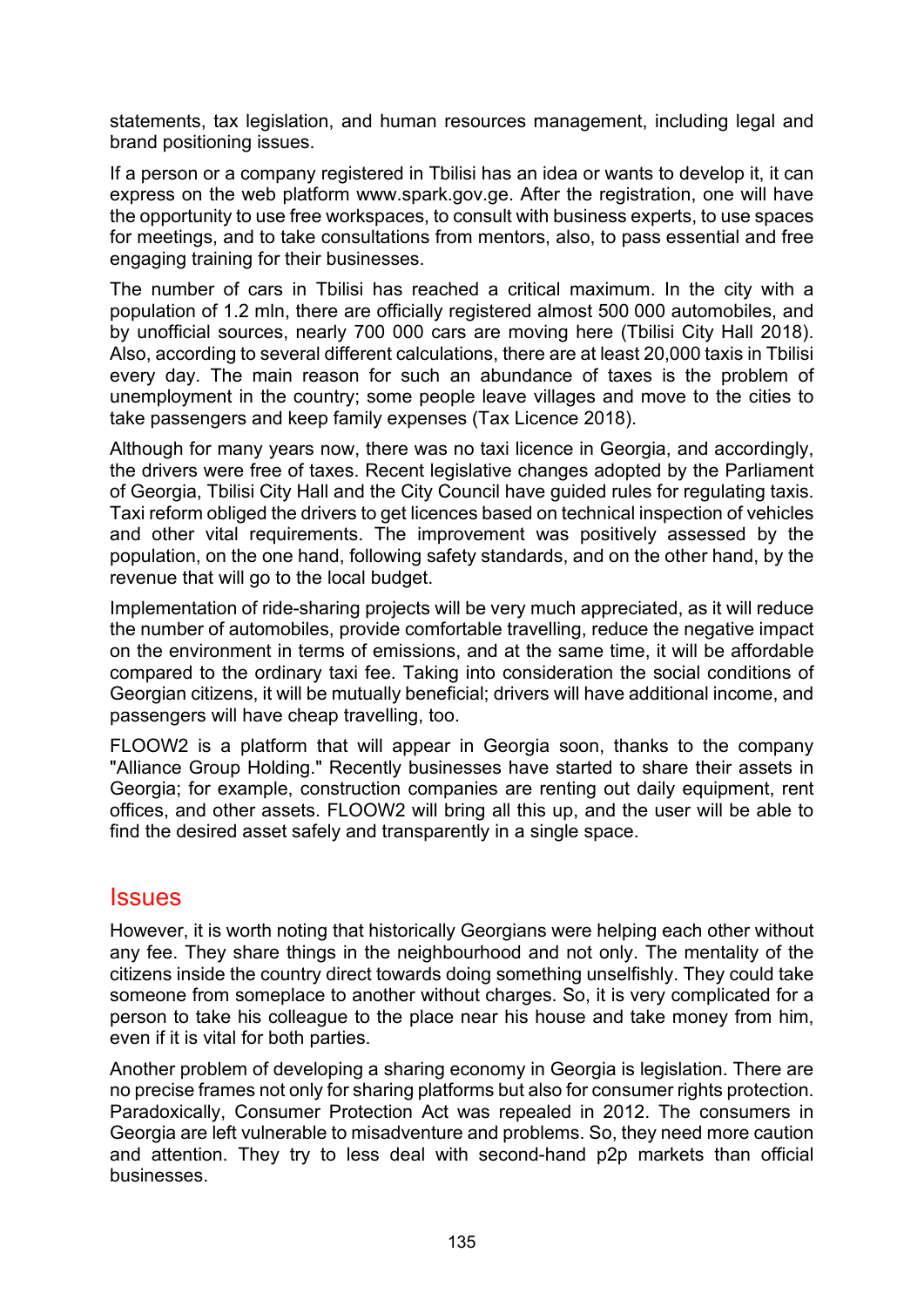statements, tax legislation, and human resources management, including legal and brand positioning issues.

If a person or a company registered in Tbilisi has an idea or wants to develop it, it can express on the web platform [www.spark.gov.ge.](http://www.spark.gov.ge/) After the registration, one will have the opportunity to use free workspaces, to consult with business experts, to use spaces for meetings, and to take consultations from mentors, also, to pass essential and free engaging training for their businesses.

The number of cars in Tbilisi has reached a critical maximum. In the city with a population of 1.2 mln, there are officially registered almost 500 000 automobiles, and by unofficial sources, nearly 700 000 cars are moving here (Tbilisi City Hall 2018). Also, according to several different calculations, there are at least 20,000 taxis in Tbilisi every day. The main reason for such an abundance of taxes is the problem of unemployment in the country; some people leave villages and move to the cities to take passengers and keep family expenses (Tax Licence 2018).

Although for many years now, there was no taxi licence in Georgia, and accordingly, the drivers were free of taxes. Recent legislative changes adopted by the Parliament of Georgia, Tbilisi City Hall and the City Council have guided rules for regulating taxis. Taxi reform obliged the drivers to get licences based on technical inspection of vehicles and other vital requirements. The improvement was positively assessed by the population, on the one hand, following safety standards, and on the other hand, by the revenue that will go to the local budget.

Implementation of ride-sharing projects will be very much appreciated, as it will reduce the number of automobiles, provide comfortable travelling, reduce the negative impact on the environment in terms of emissions, and at the same time, it will be affordable compared to the ordinary taxi fee. Taking into consideration the social conditions of Georgian citizens, it will be mutually beneficial; drivers will have additional income, and passengers will have cheap travelling, too.

FLOOW2 is a platform that will appear in Georgia soon, thanks to the company "Alliance Group Holding." Recently businesses have started to share their assets in Georgia; for example, construction companies are renting out daily equipment, rent offices, and other assets. FLOOW2 will bring all this up, and the user will be able to find the desired asset safely and transparently in a single space.

### **Issues**

However, it is worth noting that historically Georgians were helping each other without any fee. They share things in the neighbourhood and not only. The mentality of the citizens inside the country direct towards doing something unselfishly. They could take someone from someplace to another without charges. So, it is very complicated for a person to take his colleague to the place near his house and take money from him, even if it is vital for both parties.

Another problem of developing a sharing economy in Georgia is legislation. There are no precise frames not only for sharing platforms but also for consumer rights protection. Paradoxically, Consumer Protection Act was repealed in 2012. The consumers in Georgia are left vulnerable to misadventure and problems. So, they need more caution and attention. They try to less deal with second-hand p2p markets than official businesses.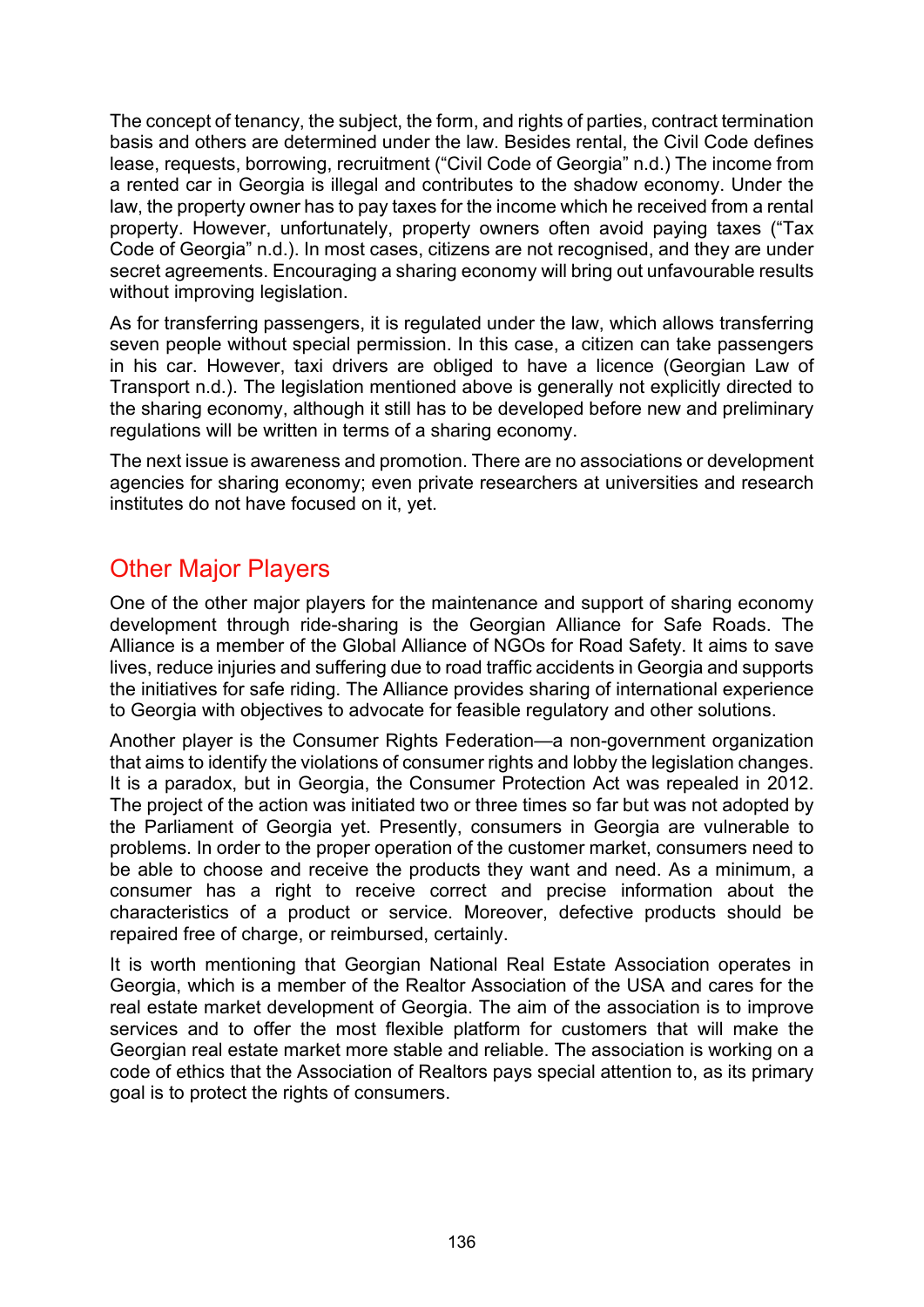The concept of tenancy, the subject, the form, and rights of parties, contract termination basis and others are determined under the law. Besides rental, the Civil Code defines lease, requests, borrowing, recruitment ("Civil Code of Georgia" n.d.) The income from a rented car in Georgia is illegal and contributes to the shadow economy. Under the law, the property owner has to pay taxes for the income which he received from a rental property. However, unfortunately, property owners often avoid paying taxes ("Tax Code of Georgia" n.d.). In most cases, citizens are not recognised, and they are under secret agreements. Encouraging a sharing economy will bring out unfavourable results without improving legislation.

As for transferring passengers, it is regulated under the law, which allows transferring seven people without special permission. In this case, a citizen can take passengers in his car. However, taxi drivers are obliged to have a licence (Georgian Law of Transport n.d.). The legislation mentioned above is generally not explicitly directed to the sharing economy, although it still has to be developed before new and preliminary regulations will be written in terms of a sharing economy.

The next issue is awareness and promotion. There are no associations or development agencies for sharing economy; even private researchers at universities and research institutes do not have focused on it, yet.

### Other Major Players

One of the other major players for the maintenance and support of sharing economy development through ride-sharing is the Georgian Alliance for Safe Roads. The Alliance is a member of the Global Alliance of NGOs for Road Safety. It aims to save lives, reduce injuries and suffering due to road traffic accidents in Georgia and supports the initiatives for safe riding. The Alliance provides sharing of international experience to Georgia with objectives to advocate for feasible regulatory and other solutions.

Another player is the Consumer Rights Federation—a non-government organization that aims to identify the violations of consumer rights and lobby the legislation changes. It is a paradox, but in Georgia, the Consumer Protection Act was repealed in 2012. The project of the action was initiated two or three times so far but was not adopted by the Parliament of Georgia yet. Presently, consumers in Georgia are vulnerable to problems. In order to the proper operation of the customer market, consumers need to be able to choose and receive the products they want and need. As a minimum, a consumer has a right to receive correct and precise information about the characteristics of a product or service. Moreover, defective products should be repaired free of charge, or reimbursed, certainly.

It is worth mentioning that Georgian National Real Estate Association operates in Georgia, which is a member of the Realtor Association of the USA and cares for the real estate market development of Georgia. The aim of the association is to improve services and to offer the most flexible platform for customers that will make the Georgian real estate market more stable and reliable. The association is working on a code of ethics that the Association of Realtors pays special attention to, as its primary goal is to protect the rights of consumers.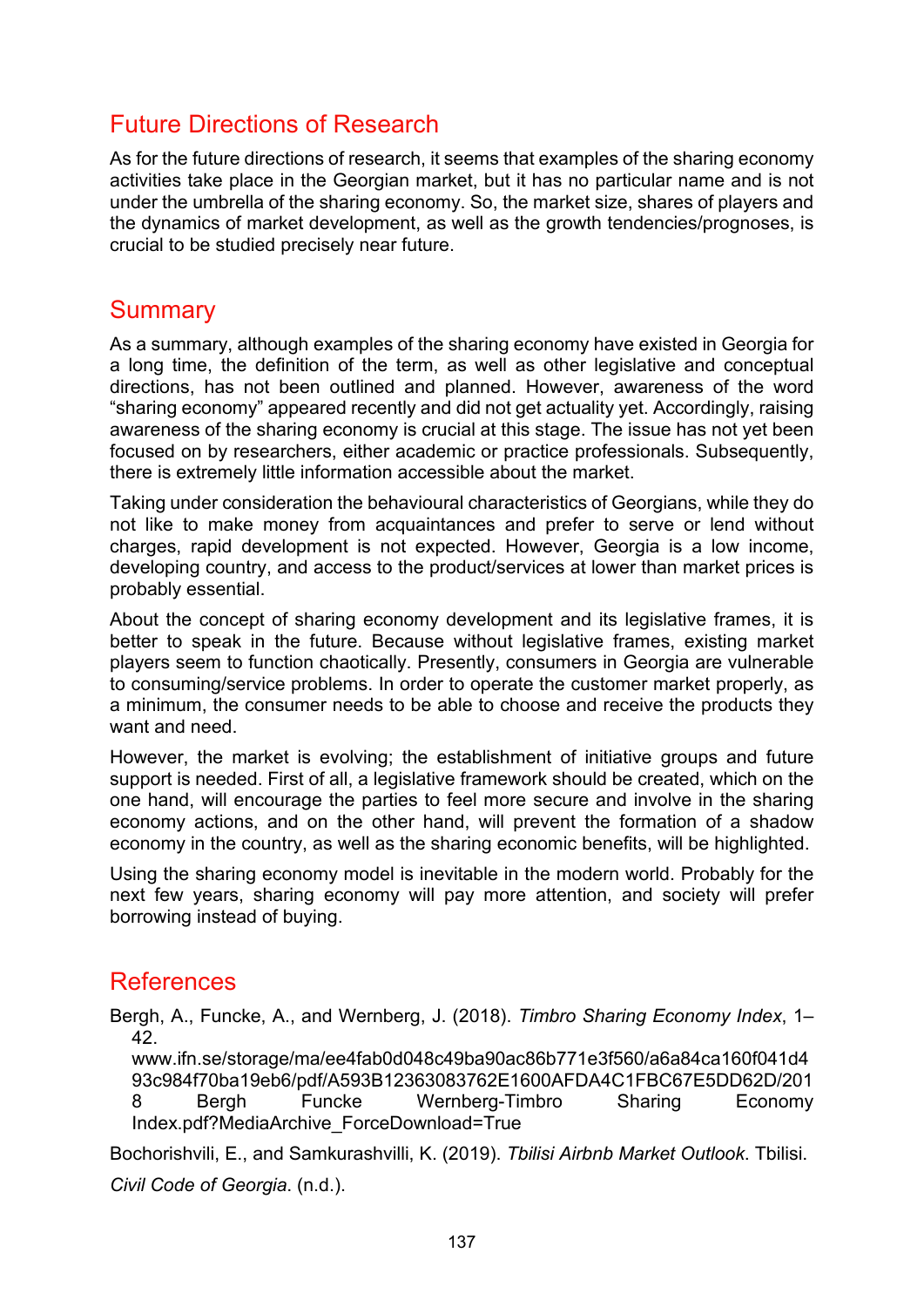### Future Directions of Research

As for the future directions of research, it seems that examples of the sharing economy activities take place in the Georgian market, but it has no particular name and is not under the umbrella of the sharing economy. So, the market size, shares of players and the dynamics of market development, as well as the growth tendencies/prognoses, is crucial to be studied precisely near future.

### **Summary**

As a summary, although examples of the sharing economy have existed in Georgia for a long time, the definition of the term, as well as other legislative and conceptual directions, has not been outlined and planned. However, awareness of the word "sharing economy" appeared recently and did not get actuality yet. Accordingly, raising awareness of the sharing economy is crucial at this stage. The issue has not yet been focused on by researchers, either academic or practice professionals. Subsequently, there is extremely little information accessible about the market.

Taking under consideration the behavioural characteristics of Georgians, while they do not like to make money from acquaintances and prefer to serve or lend without charges, rapid development is not expected. However, Georgia is a low income, developing country, and access to the product/services at lower than market prices is probably essential.

About the concept of sharing economy development and its legislative frames, it is better to speak in the future. Because without legislative frames, existing market players seem to function chaotically. Presently, consumers in Georgia are vulnerable to consuming/service problems. In order to operate the customer market properly, as a minimum, the consumer needs to be able to choose and receive the products they want and need.

However, the market is evolving; the establishment of initiative groups and future support is needed. First of all, a legislative framework should be created, which on the one hand, will encourage the parties to feel more secure and involve in the sharing economy actions, and on the other hand, will prevent the formation of a shadow economy in the country, as well as the sharing economic benefits, will be highlighted.

Using the sharing economy model is inevitable in the modern world. Probably for the next few years, sharing economy will pay more attention, and society will prefer borrowing instead of buying.

### References

Bergh, A., Funcke, A., and Wernberg, J. (2018). *Timbro Sharing Economy Index*, 1– 42.

www.ifn.se/storage/ma/ee4fab0d048c49ba90ac86b771e3f560/a6a84ca160f041d4 93c984f70ba19eb6/pdf/A593B12363083762E1600AFDA4C1FBC67E5DD62D/201 8 Bergh Funcke Wernberg-Timbro Sharing Economy Index.pdf?MediaArchive\_ForceDownload=True

Bochorishvili, E., and Samkurashvilli, K. (2019). *Tbilisi Airbnb Market Outlook*. Tbilisi. *Civil Code of Georgia*. (n.d.).